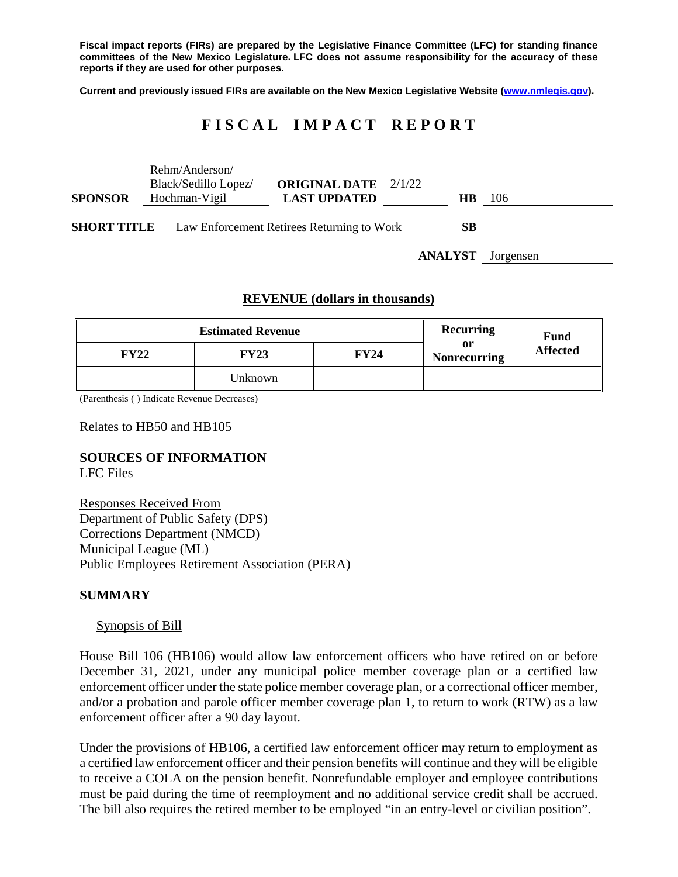**Fiscal impact reports (FIRs) are prepared by the Legislative Finance Committee (LFC) for standing finance committees of the New Mexico Legislature. LFC does not assume responsibility for the accuracy of these reports if they are used for other purposes.**

**Current and previously issued FIRs are available on the New Mexico Legislative Website [\(www.nmlegis.gov\)](http://www.nmlegis.gov/).**

# **F I S C A L I M P A C T R E P O R T**

|                    |               | Rehm/Anderson/<br>Black/Sedillo Lopez/     | <b>ORIGINAL DATE</b> 2/1/22 |  |                |           |
|--------------------|---------------|--------------------------------------------|-----------------------------|--|----------------|-----------|
| <b>SPONSOR</b>     | Hochman-Vigil |                                            | <b>LAST UPDATED</b>         |  | <b>HB</b>      | 106       |
| <b>SHORT TITLE</b> |               | Law Enforcement Retirees Returning to Work |                             |  | SВ             |           |
|                    |               |                                            |                             |  | <b>ANALYST</b> | Jorgensen |

# **REVENUE (dollars in thousands)**

|             | <b>Estimated Revenue</b> | <b>Recurring</b> | <b>Fund</b>               |                 |
|-------------|--------------------------|------------------|---------------------------|-----------------|
| <b>FY22</b> | <b>FY23</b>              | <b>FY24</b>      | or<br><b>Nonrecurring</b> | <b>Affected</b> |
|             | Unknown                  |                  |                           |                 |

(Parenthesis ( ) Indicate Revenue Decreases)

Relates to HB50 and HB105

# **SOURCES OF INFORMATION**

LFC Files

Responses Received From Department of Public Safety (DPS) Corrections Department (NMCD) Municipal League (ML) Public Employees Retirement Association (PERA)

#### **SUMMARY**

#### Synopsis of Bill

House Bill 106 (HB106) would allow law enforcement officers who have retired on or before December 31, 2021, under any municipal police member coverage plan or a certified law enforcement officer under the state police member coverage plan, or a correctional officer member, and/or a probation and parole officer member coverage plan 1, to return to work (RTW) as a law enforcement officer after a 90 day layout.

Under the provisions of HB106, a certified law enforcement officer may return to employment as a certified law enforcement officer and their pension benefits will continue and they will be eligible to receive a COLA on the pension benefit. Nonrefundable employer and employee contributions must be paid during the time of reemployment and no additional service credit shall be accrued. The bill also requires the retired member to be employed "in an entry-level or civilian position".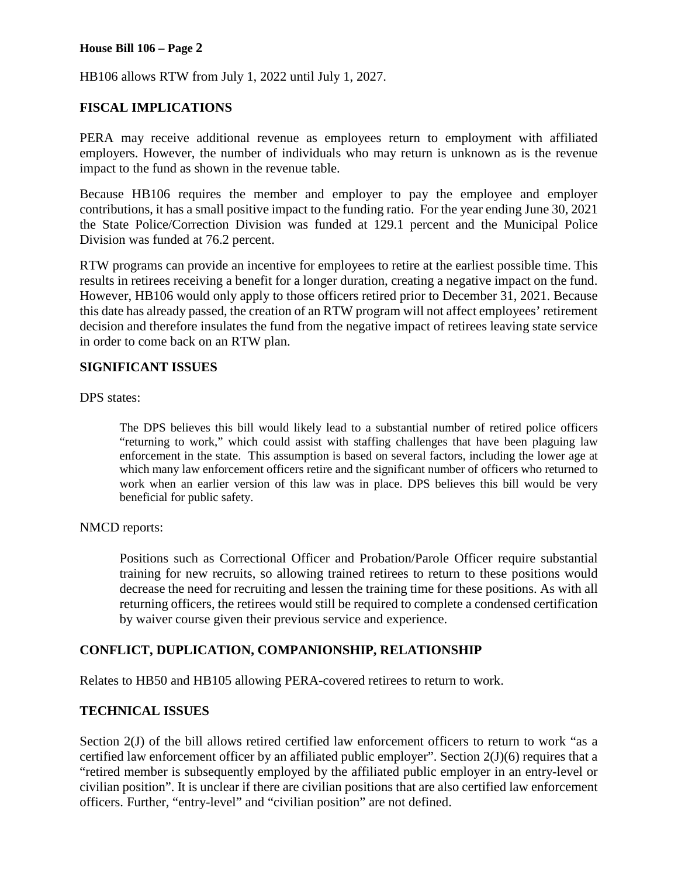# **House Bill 106 – Page 2**

HB106 allows RTW from July 1, 2022 until July 1, 2027.

# **FISCAL IMPLICATIONS**

PERA may receive additional revenue as employees return to employment with affiliated employers. However, the number of individuals who may return is unknown as is the revenue impact to the fund as shown in the revenue table.

Because HB106 requires the member and employer to pay the employee and employer contributions, it has a small positive impact to the funding ratio. For the year ending June 30, 2021 the State Police/Correction Division was funded at 129.1 percent and the Municipal Police Division was funded at 76.2 percent.

RTW programs can provide an incentive for employees to retire at the earliest possible time. This results in retirees receiving a benefit for a longer duration, creating a negative impact on the fund. However, HB106 would only apply to those officers retired prior to December 31, 2021. Because this date has already passed, the creation of an RTW program will not affect employees' retirement decision and therefore insulates the fund from the negative impact of retirees leaving state service in order to come back on an RTW plan.

# **SIGNIFICANT ISSUES**

DPS states:

The DPS believes this bill would likely lead to a substantial number of retired police officers "returning to work," which could assist with staffing challenges that have been plaguing law enforcement in the state. This assumption is based on several factors, including the lower age at which many law enforcement officers retire and the significant number of officers who returned to work when an earlier version of this law was in place. DPS believes this bill would be very beneficial for public safety.

# NMCD reports:

Positions such as Correctional Officer and Probation/Parole Officer require substantial training for new recruits, so allowing trained retirees to return to these positions would decrease the need for recruiting and lessen the training time for these positions. As with all returning officers, the retirees would still be required to complete a condensed certification by waiver course given their previous service and experience.

# **CONFLICT, DUPLICATION, COMPANIONSHIP, RELATIONSHIP**

Relates to HB50 and HB105 allowing PERA-covered retirees to return to work.

# **TECHNICAL ISSUES**

Section 2(J) of the bill allows retired certified law enforcement officers to return to work "as a certified law enforcement officer by an affiliated public employer". Section 2(J)(6) requires that a "retired member is subsequently employed by the affiliated public employer in an entry-level or civilian position". It is unclear if there are civilian positions that are also certified law enforcement officers. Further, "entry-level" and "civilian position" are not defined.